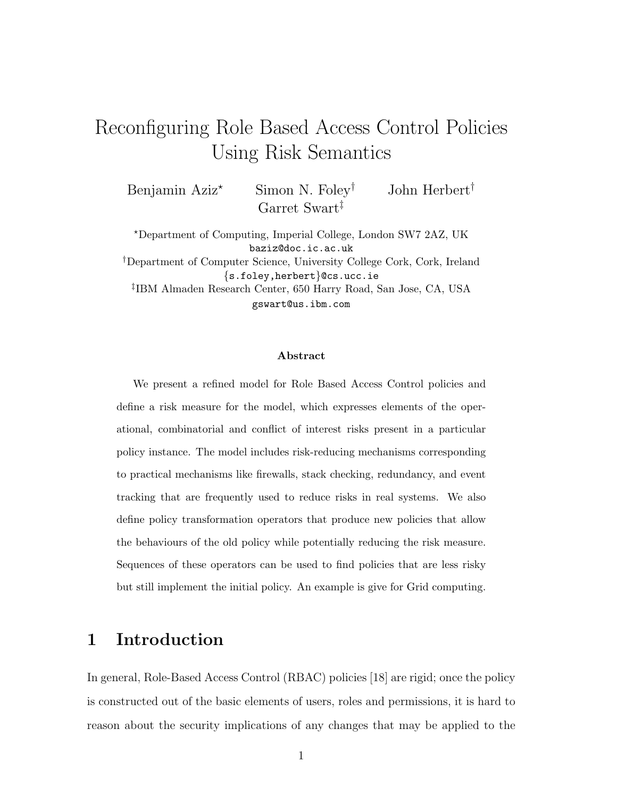## Reconfiguring Role Based Access Control Policies Using Risk Semantics

Benjamin Aziz<sup>\*</sup> Simon N. Foley<sup>†</sup> John Herbert<sup>†</sup> Garret Swart‡

?Department of Computing, Imperial College, London SW7 2AZ, UK baziz@doc.ic.ac.uk †Department of Computer Science, University College Cork, Cork, Ireland {s.foley,herbert}@cs.ucc.ie ‡ IBM Almaden Research Center, 650 Harry Road, San Jose, CA, USA gswart@us.ibm.com

#### Abstract

We present a refined model for Role Based Access Control policies and define a risk measure for the model, which expresses elements of the operational, combinatorial and conflict of interest risks present in a particular policy instance. The model includes risk-reducing mechanisms corresponding to practical mechanisms like firewalls, stack checking, redundancy, and event tracking that are frequently used to reduce risks in real systems. We also define policy transformation operators that produce new policies that allow the behaviours of the old policy while potentially reducing the risk measure. Sequences of these operators can be used to find policies that are less risky but still implement the initial policy. An example is give for Grid computing.

### 1 Introduction

In general, Role-Based Access Control (RBAC) policies [18] are rigid; once the policy is constructed out of the basic elements of users, roles and permissions, it is hard to reason about the security implications of any changes that may be applied to the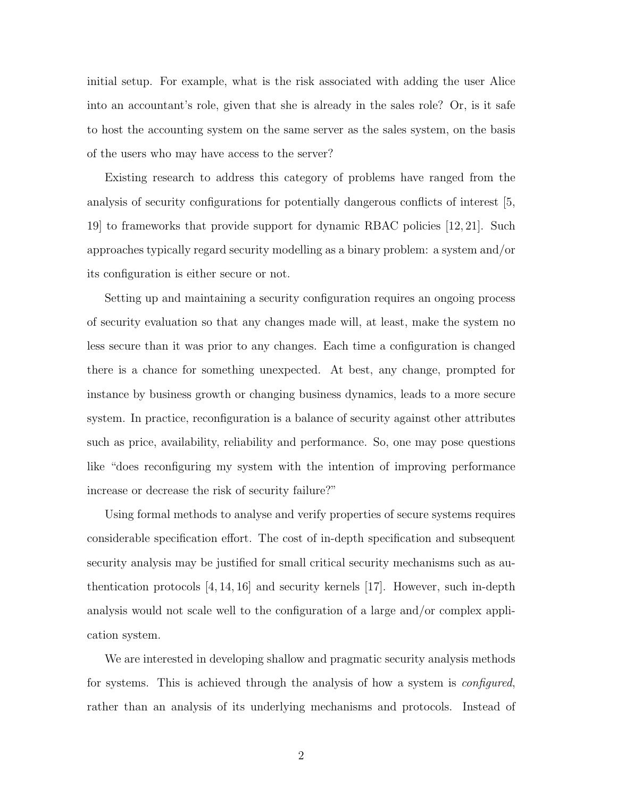initial setup. For example, what is the risk associated with adding the user Alice into an accountant's role, given that she is already in the sales role? Or, is it safe to host the accounting system on the same server as the sales system, on the basis of the users who may have access to the server?

Existing research to address this category of problems have ranged from the analysis of security configurations for potentially dangerous conflicts of interest [5, 19] to frameworks that provide support for dynamic RBAC policies [12, 21]. Such approaches typically regard security modelling as a binary problem: a system and/or its configuration is either secure or not.

Setting up and maintaining a security configuration requires an ongoing process of security evaluation so that any changes made will, at least, make the system no less secure than it was prior to any changes. Each time a configuration is changed there is a chance for something unexpected. At best, any change, prompted for instance by business growth or changing business dynamics, leads to a more secure system. In practice, reconfiguration is a balance of security against other attributes such as price, availability, reliability and performance. So, one may pose questions like "does reconfiguring my system with the intention of improving performance increase or decrease the risk of security failure?"

Using formal methods to analyse and verify properties of secure systems requires considerable specification effort. The cost of in-depth specification and subsequent security analysis may be justified for small critical security mechanisms such as authentication protocols [4, 14, 16] and security kernels [17]. However, such in-depth analysis would not scale well to the configuration of a large and/or complex application system.

We are interested in developing shallow and pragmatic security analysis methods for systems. This is achieved through the analysis of how a system is configured, rather than an analysis of its underlying mechanisms and protocols. Instead of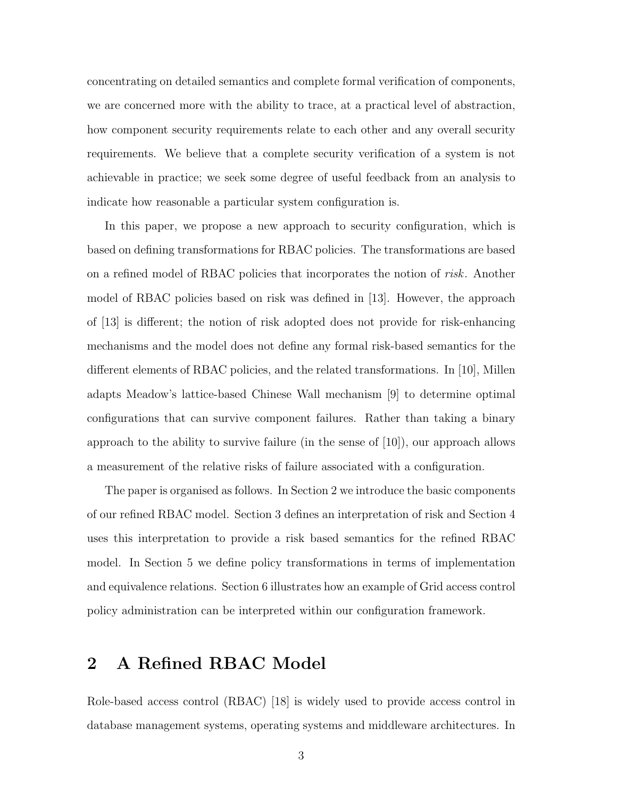concentrating on detailed semantics and complete formal verification of components, we are concerned more with the ability to trace, at a practical level of abstraction, how component security requirements relate to each other and any overall security requirements. We believe that a complete security verification of a system is not achievable in practice; we seek some degree of useful feedback from an analysis to indicate how reasonable a particular system configuration is.

In this paper, we propose a new approach to security configuration, which is based on defining transformations for RBAC policies. The transformations are based on a refined model of RBAC policies that incorporates the notion of risk. Another model of RBAC policies based on risk was defined in [13]. However, the approach of [13] is different; the notion of risk adopted does not provide for risk-enhancing mechanisms and the model does not define any formal risk-based semantics for the different elements of RBAC policies, and the related transformations. In [10], Millen adapts Meadow's lattice-based Chinese Wall mechanism [9] to determine optimal configurations that can survive component failures. Rather than taking a binary approach to the ability to survive failure (in the sense of [10]), our approach allows a measurement of the relative risks of failure associated with a configuration.

The paper is organised as follows. In Section 2 we introduce the basic components of our refined RBAC model. Section 3 defines an interpretation of risk and Section 4 uses this interpretation to provide a risk based semantics for the refined RBAC model. In Section 5 we define policy transformations in terms of implementation and equivalence relations. Section 6 illustrates how an example of Grid access control policy administration can be interpreted within our configuration framework.

### 2 A Refined RBAC Model

Role-based access control (RBAC) [18] is widely used to provide access control in database management systems, operating systems and middleware architectures. In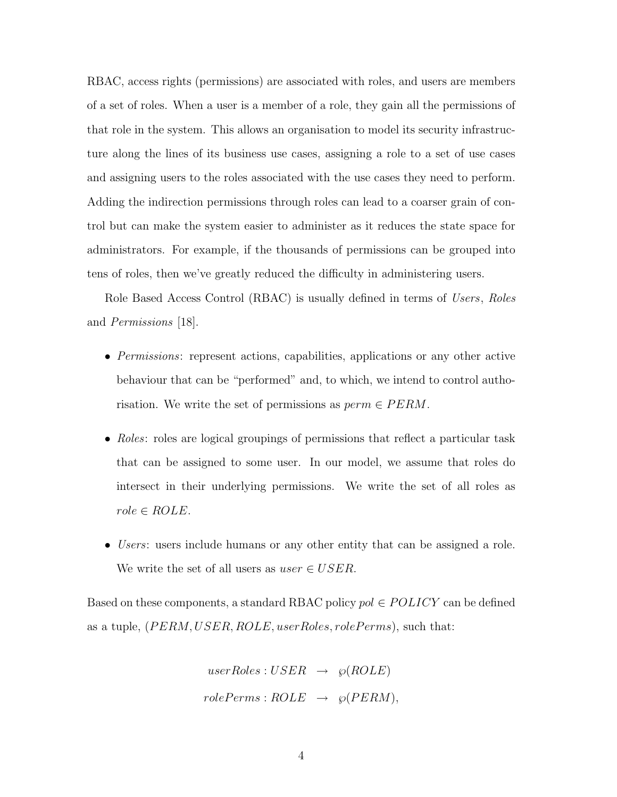RBAC, access rights (permissions) are associated with roles, and users are members of a set of roles. When a user is a member of a role, they gain all the permissions of that role in the system. This allows an organisation to model its security infrastructure along the lines of its business use cases, assigning a role to a set of use cases and assigning users to the roles associated with the use cases they need to perform. Adding the indirection permissions through roles can lead to a coarser grain of control but can make the system easier to administer as it reduces the state space for administrators. For example, if the thousands of permissions can be grouped into tens of roles, then we've greatly reduced the difficulty in administering users.

Role Based Access Control (RBAC) is usually defined in terms of Users, Roles and Permissions [18].

- Permissions: represent actions, capabilities, applications or any other active behaviour that can be "performed" and, to which, we intend to control authorisation. We write the set of permissions as  $perm \in PERM$ .
- Roles: roles are logical groupings of permissions that reflect a particular task that can be assigned to some user. In our model, we assume that roles do intersect in their underlying permissions. We write the set of all roles as  $role \in ROLE.$
- Users: users include humans or any other entity that can be assigned a role. We write the set of all users as  $user \in USER$ .

Based on these components, a standard RBAC policy  $pol \in POLICY$  can be defined as a tuple,  $(PERM, USER, ROLE, userRoles, role Perm),$  such that:

> $userRoles: USER \rightarrow \wp(ROLE)$  $rolePerms: ROLE \rightarrow \wp(PERM),$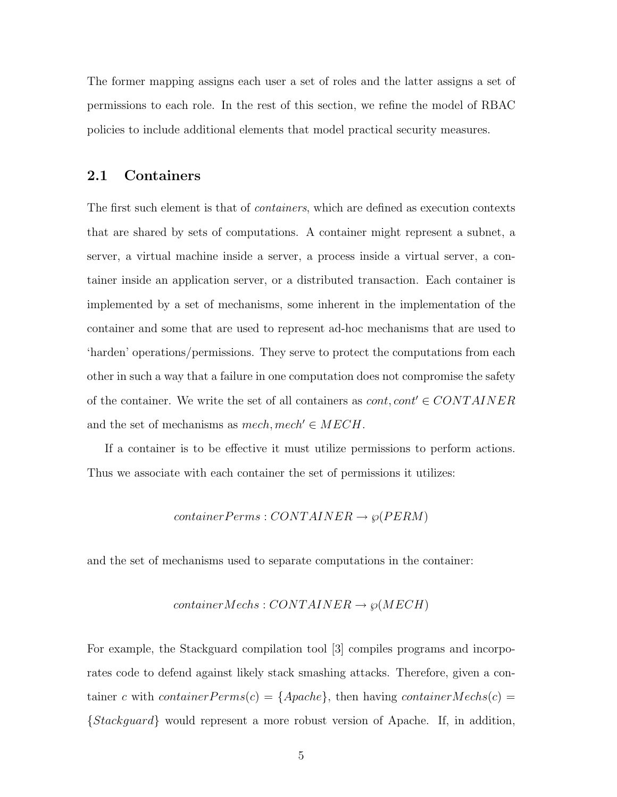The former mapping assigns each user a set of roles and the latter assigns a set of permissions to each role. In the rest of this section, we refine the model of RBAC policies to include additional elements that model practical security measures.

#### 2.1 Containers

The first such element is that of *containers*, which are defined as execution contexts that are shared by sets of computations. A container might represent a subnet, a server, a virtual machine inside a server, a process inside a virtual server, a container inside an application server, or a distributed transaction. Each container is implemented by a set of mechanisms, some inherent in the implementation of the container and some that are used to represent ad-hoc mechanisms that are used to 'harden' operations/permissions. They serve to protect the computations from each other in such a way that a failure in one computation does not compromise the safety of the container. We write the set of all containers as  $cont, cont' \in CONTAINER$ and the set of mechanisms as  $mech, mech' \in MECH$ .

If a container is to be effective it must utilize permissions to perform actions. Thus we associate with each container the set of permissions it utilizes:

$$
containerPerms: CONTAINER \rightarrow \wp(PERM)
$$

and the set of mechanisms used to separate computations in the container:

### $\text{containerMechs}: CONTAINER \rightarrow \wp(MECH)$

For example, the Stackguard compilation tool [3] compiles programs and incorporates code to defend against likely stack smashing attacks. Therefore, given a container c with container  $Perms(c) = \{Apache\}$ , then having container  $Mechs(c)$ {Stackguard} would represent a more robust version of Apache. If, in addition,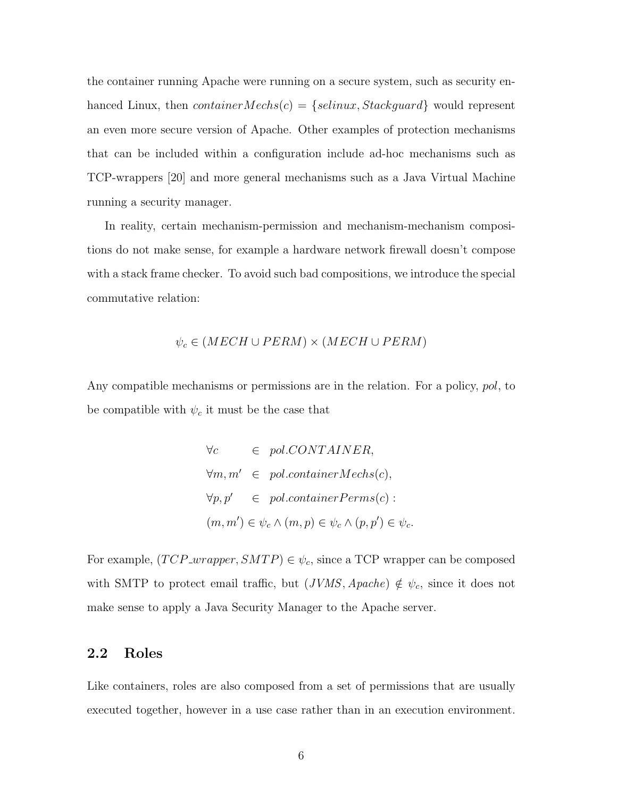the container running Apache were running on a secure system, such as security enhanced Linux, then *container Mechs* $(c) = \{selinux, Stackguard\}$  would represent an even more secure version of Apache. Other examples of protection mechanisms that can be included within a configuration include ad-hoc mechanisms such as TCP-wrappers [20] and more general mechanisms such as a Java Virtual Machine running a security manager.

In reality, certain mechanism-permission and mechanism-mechanism compositions do not make sense, for example a hardware network firewall doesn't compose with a stack frame checker. To avoid such bad compositions, we introduce the special commutative relation:

$$
\psi_c \in (MECH \cup PERM) \times (MECH \cup PERM)
$$

Any compatible mechanisms or permissions are in the relation. For a policy, pol, to be compatible with  $\psi_c$  it must be the case that

$$
\forall c \in pol. CONTAINER,
$$
  
\n
$$
\forall m, m' \in pol. container Mechs(c),
$$
  
\n
$$
\forall p, p' \in pol. container Perms(c):
$$
  
\n
$$
(m, m') \in \psi_c \land (m, p) \in \psi_c \land (p, p') \in \psi_c.
$$

For example,  $(TCP\_wrapper, SMTP) \in \psi_c$ , since a TCP wrapper can be composed with SMTP to protect email traffic, but  $(JVMS, Apache) \notin \psi_c$ , since it does not make sense to apply a Java Security Manager to the Apache server.

### 2.2 Roles

Like containers, roles are also composed from a set of permissions that are usually executed together, however in a use case rather than in an execution environment.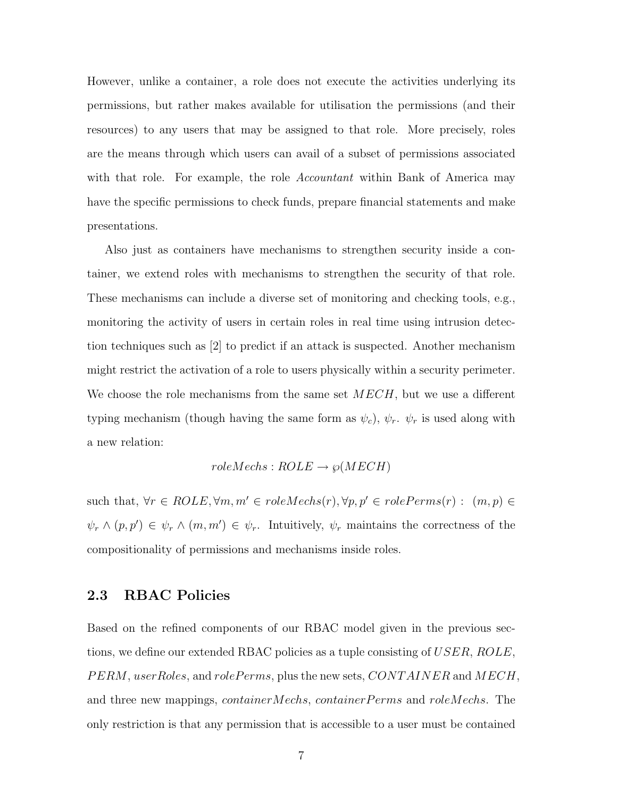However, unlike a container, a role does not execute the activities underlying its permissions, but rather makes available for utilisation the permissions (and their resources) to any users that may be assigned to that role. More precisely, roles are the means through which users can avail of a subset of permissions associated with that role. For example, the role Accountant within Bank of America may have the specific permissions to check funds, prepare financial statements and make presentations.

Also just as containers have mechanisms to strengthen security inside a container, we extend roles with mechanisms to strengthen the security of that role. These mechanisms can include a diverse set of monitoring and checking tools, e.g., monitoring the activity of users in certain roles in real time using intrusion detection techniques such as [2] to predict if an attack is suspected. Another mechanism might restrict the activation of a role to users physically within a security perimeter. We choose the role mechanisms from the same set  $MECH$ , but we use a different typing mechanism (though having the same form as  $\psi_c$ ),  $\psi_r$ .  $\psi_r$  is used along with a new relation:

$$
roleMechs: ROLE \rightarrow \wp(MECH)
$$

such that,  $\forall r \in ROLE, \forall m, m' \in roleMechs(r), \forall p, p' \in rolePerms(r) : (m, p) \in$  $\psi_r \wedge (p, p') \in \psi_r \wedge (m, m') \in \psi_r$ . Intuitively,  $\psi_r$  maintains the correctness of the compositionality of permissions and mechanisms inside roles.

#### 2.3 RBAC Policies

Based on the refined components of our RBAC model given in the previous sections, we define our extended RBAC policies as a tuple consisting of USER, ROLE,  $PERM$ , userRoles, and rolePerms, plus the new sets,  $CONTAINER$  and  $MECH$ , and three new mappings, *containerMechs*, *containerPerms* and *roleMechs*. The only restriction is that any permission that is accessible to a user must be contained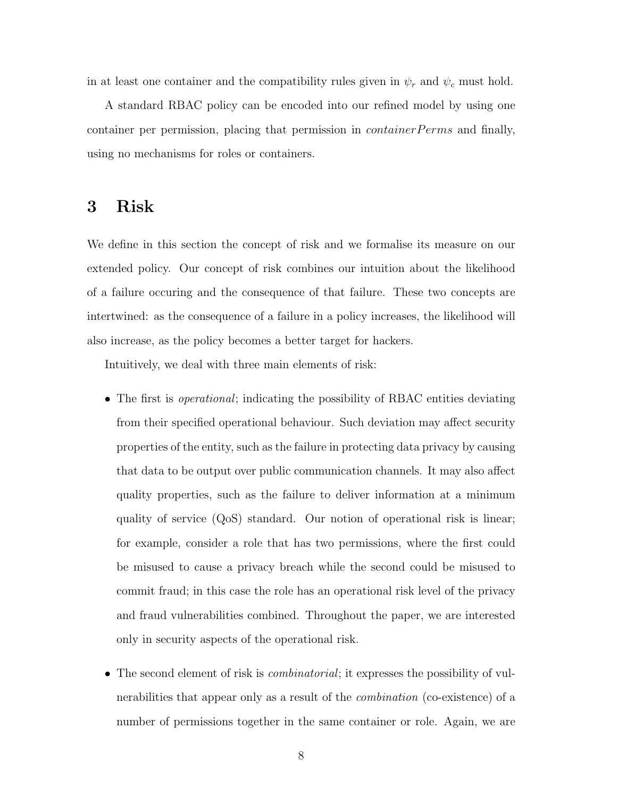in at least one container and the compatibility rules given in  $\psi_r$  and  $\psi_c$  must hold.

A standard RBAC policy can be encoded into our refined model by using one container per permission, placing that permission in *container Perms* and finally, using no mechanisms for roles or containers.

### 3 Risk

We define in this section the concept of risk and we formalise its measure on our extended policy. Our concept of risk combines our intuition about the likelihood of a failure occuring and the consequence of that failure. These two concepts are intertwined: as the consequence of a failure in a policy increases, the likelihood will also increase, as the policy becomes a better target for hackers.

Intuitively, we deal with three main elements of risk:

- The first is *operational*; indicating the possibility of RBAC entities deviating from their specified operational behaviour. Such deviation may affect security properties of the entity, such as the failure in protecting data privacy by causing that data to be output over public communication channels. It may also affect quality properties, such as the failure to deliver information at a minimum quality of service (QoS) standard. Our notion of operational risk is linear; for example, consider a role that has two permissions, where the first could be misused to cause a privacy breach while the second could be misused to commit fraud; in this case the role has an operational risk level of the privacy and fraud vulnerabilities combined. Throughout the paper, we are interested only in security aspects of the operational risk.
- The second element of risk is *combinatorial*; it expresses the possibility of vulnerabilities that appear only as a result of the combination (co-existence) of a number of permissions together in the same container or role. Again, we are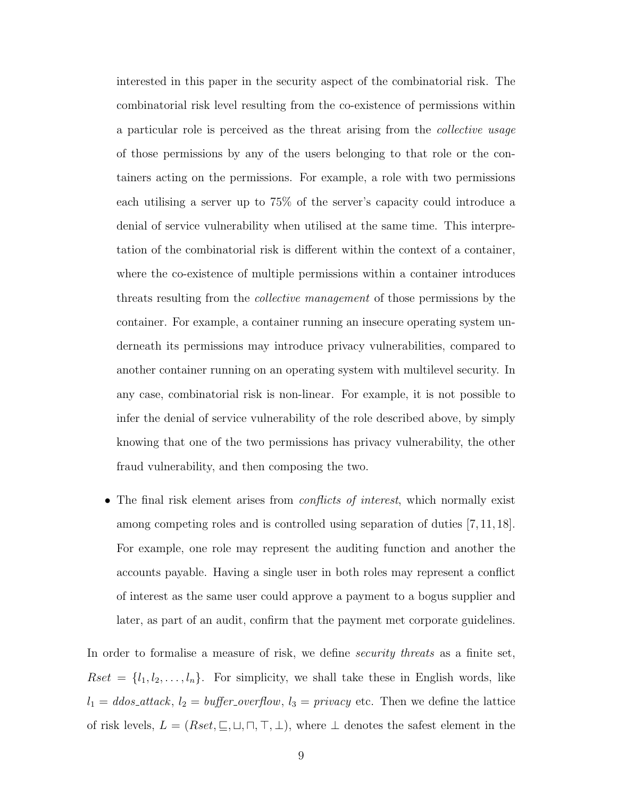interested in this paper in the security aspect of the combinatorial risk. The combinatorial risk level resulting from the co-existence of permissions within a particular role is perceived as the threat arising from the collective usage of those permissions by any of the users belonging to that role or the containers acting on the permissions. For example, a role with two permissions each utilising a server up to 75% of the server's capacity could introduce a denial of service vulnerability when utilised at the same time. This interpretation of the combinatorial risk is different within the context of a container, where the co-existence of multiple permissions within a container introduces threats resulting from the collective management of those permissions by the container. For example, a container running an insecure operating system underneath its permissions may introduce privacy vulnerabilities, compared to another container running on an operating system with multilevel security. In any case, combinatorial risk is non-linear. For example, it is not possible to infer the denial of service vulnerability of the role described above, by simply knowing that one of the two permissions has privacy vulnerability, the other fraud vulnerability, and then composing the two.

• The final risk element arises from *conflicts of interest*, which normally exist among competing roles and is controlled using separation of duties [7, 11, 18]. For example, one role may represent the auditing function and another the accounts payable. Having a single user in both roles may represent a conflict of interest as the same user could approve a payment to a bogus supplier and later, as part of an audit, confirm that the payment met corporate guidelines.

In order to formalise a measure of risk, we define *security threats* as a finite set,  $Rset = \{l_1, l_2, \ldots, l_n\}$ . For simplicity, we shall take these in English words, like  $l_1 = ddos\_attack, l_2 = buffer\_overflow, l_3 = privacy$  etc. Then we define the lattice of risk levels,  $L = (Rset, \sqsubseteq, \sqcup, \sqcap, \top, \bot)$ , where  $\bot$  denotes the safest element in the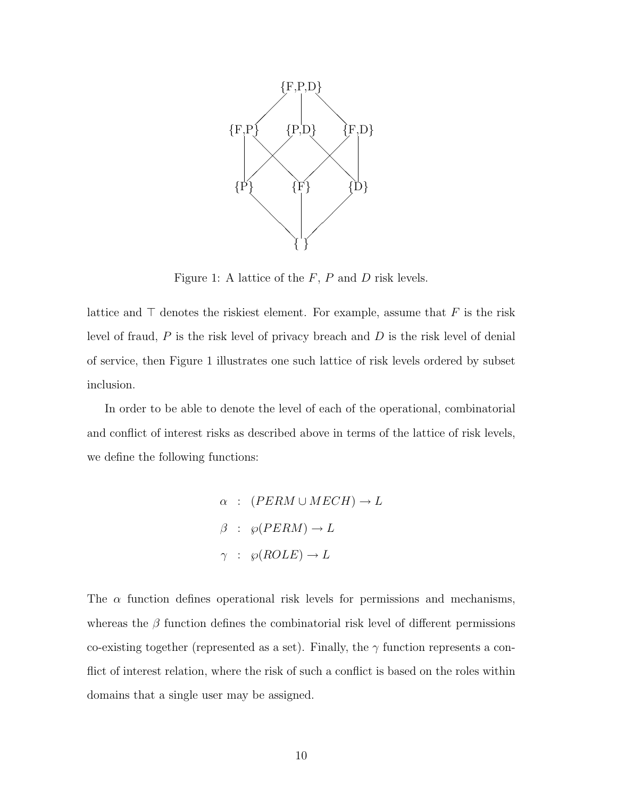

Figure 1: A lattice of the  $F$ ,  $P$  and  $D$  risk levels.

lattice and  $\top$  denotes the riskiest element. For example, assume that F is the risk level of fraud,  $P$  is the risk level of privacy breach and  $D$  is the risk level of denial of service, then Figure 1 illustrates one such lattice of risk levels ordered by subset inclusion.

In order to be able to denote the level of each of the operational, combinatorial and conflict of interest risks as described above in terms of the lattice of risk levels, we define the following functions:

> $\alpha$  :  $(PERM \cup MECH) \rightarrow L$  $\beta$  :  $\wp(PERM) \to L$  $\gamma$  :  $\wp(ROLE) \to L$

The  $\alpha$  function defines operational risk levels for permissions and mechanisms, whereas the  $\beta$  function defines the combinatorial risk level of different permissions co-existing together (represented as a set). Finally, the  $\gamma$  function represents a conflict of interest relation, where the risk of such a conflict is based on the roles within domains that a single user may be assigned.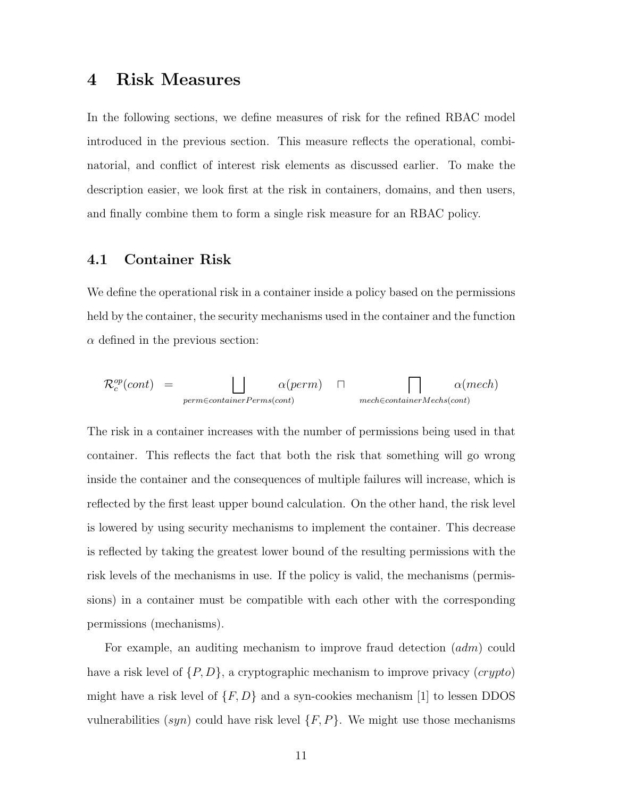### 4 Risk Measures

In the following sections, we define measures of risk for the refined RBAC model introduced in the previous section. This measure reflects the operational, combinatorial, and conflict of interest risk elements as discussed earlier. To make the description easier, we look first at the risk in containers, domains, and then users, and finally combine them to form a single risk measure for an RBAC policy.

### 4.1 Container Risk

We define the operational risk in a container inside a policy based on the permissions held by the container, the security mechanisms used in the container and the function  $\alpha$  defined in the previous section:

$$
\mathcal{R}_c^{op}(cont) = \bigsqcup_{perm \in container\, Person} \alpha(perm) \qquad \sqcap \qquad \qquad \bigcap_{mech \in container\, Mechs(cont)}
$$

The risk in a container increases with the number of permissions being used in that container. This reflects the fact that both the risk that something will go wrong inside the container and the consequences of multiple failures will increase, which is reflected by the first least upper bound calculation. On the other hand, the risk level is lowered by using security mechanisms to implement the container. This decrease is reflected by taking the greatest lower bound of the resulting permissions with the risk levels of the mechanisms in use. If the policy is valid, the mechanisms (permissions) in a container must be compatible with each other with the corresponding permissions (mechanisms).

For example, an auditing mechanism to improve fraud detection  $(\alpha dm)$  could have a risk level of  $\{P, D\}$ , a cryptographic mechanism to improve privacy (crypto) might have a risk level of  $\{F, D\}$  and a syn-cookies mechanism [1] to lessen DDOS vulnerabilities  $(syn)$  could have risk level  $\{F, P\}$ . We might use those mechanisms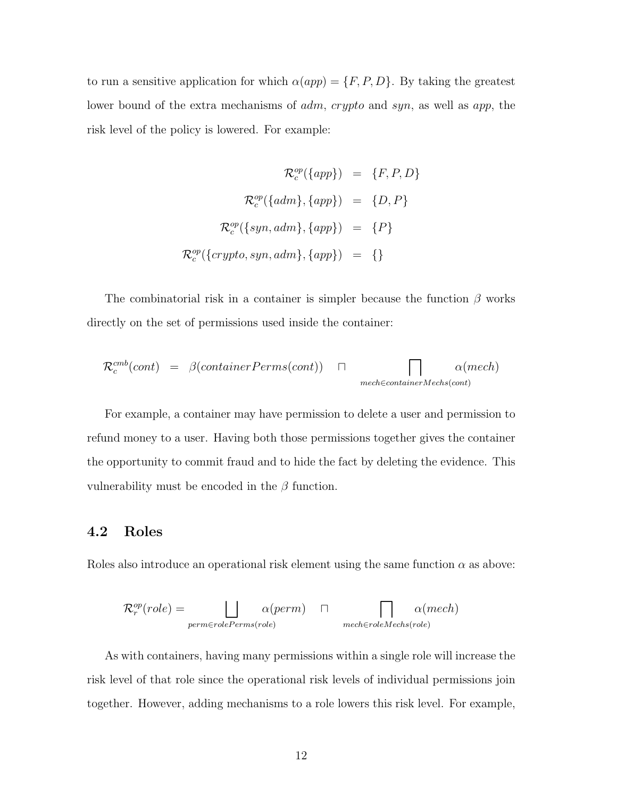to run a sensitive application for which  $\alpha(app) = \{F, P, D\}$ . By taking the greatest lower bound of the extra mechanisms of *adm, crypto* and *syn,* as well as *app*, the risk level of the policy is lowered. For example:

$$
\mathcal{R}_c^{op}(\{app\}) = \{F, P, D\}
$$

$$
\mathcal{R}_c^{op}(\{adm\}, \{app\}) = \{D, P\}
$$

$$
\mathcal{R}_c^{op}(\{sym, adm\}, \{app\}) = \{P\}
$$

$$
\mathcal{R}_c^{op}(\{crypto, syn, adm\}, \{app\}) = \{\}
$$

The combinatorial risk in a container is simpler because the function  $\beta$  works directly on the set of permissions used inside the container:

$$
\mathcal{R}_c^{cmb}(cont) = \beta(containerPerms(cont)) \cap \bigcap_{mech \in containerMechs(cont)} \alpha(mech)
$$

For example, a container may have permission to delete a user and permission to refund money to a user. Having both those permissions together gives the container the opportunity to commit fraud and to hide the fact by deleting the evidence. This vulnerability must be encoded in the  $\beta$  function.

### 4.2 Roles

Roles also introduce an operational risk element using the same function  $\alpha$  as above:

$$
\mathcal{R}_r^{op}(role) = \bigsqcup_{perm \in role\,Perm(role)} \alpha(perm) \qquad \Box \qquad \bigcap_{meche\in role\,Mechs(role)}
$$

As with containers, having many permissions within a single role will increase the risk level of that role since the operational risk levels of individual permissions join together. However, adding mechanisms to a role lowers this risk level. For example,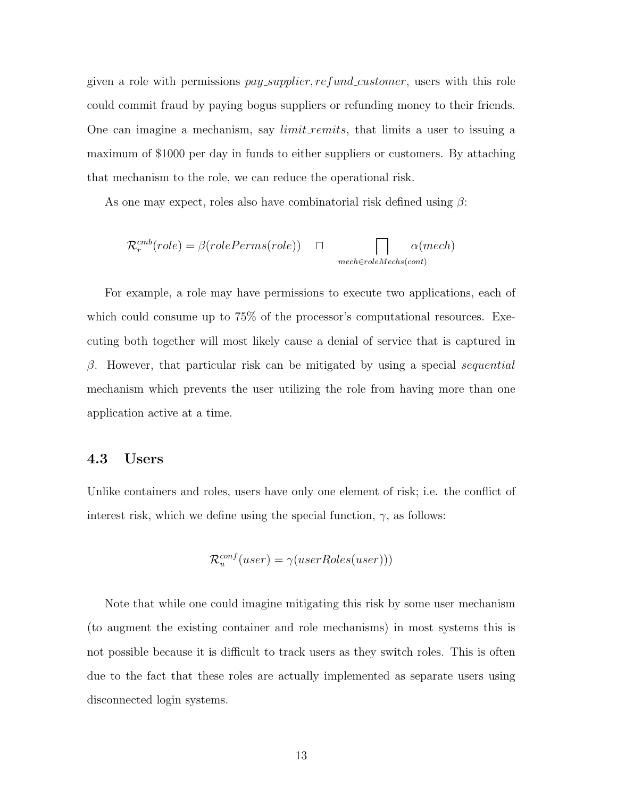given a role with permissions  $pay\_supplier, refund\_customer$ , users with this role could commit fraud by paying bogus suppliers or refunding money to their friends. One can imagine a mechanism, say *limit\_remits*, that limits a user to issuing a maximum of \$1000 per day in funds to either suppliers or customers. By attaching that mechanism to the role, we can reduce the operational risk.

As one may expect, roles also have combinatorial risk defined using  $\beta$ :

$$
\mathcal{R}_r^{cmb}(role) = \beta(rolePerms(role)) \quad \sqcap \quad \bigcap_{mech \in roleMech(s(cont)} \alpha(mech)
$$

For example, a role may have permissions to execute two applications, each of which could consume up to 75% of the processor's computational resources. Executing both together will most likely cause a denial of service that is captured in β. However, that particular risk can be mitigated by using a special sequential mechanism which prevents the user utilizing the role from having more than one application active at a time.

### 4.3 Users

Unlike containers and roles, users have only one element of risk; i.e. the conflict of interest risk, which we define using the special function,  $\gamma$ , as follows:

$$
\mathcal{R}_u^{conf}(user) = \gamma(userRobes(user)))
$$

Note that while one could imagine mitigating this risk by some user mechanism (to augment the existing container and role mechanisms) in most systems this is not possible because it is difficult to track users as they switch roles. This is often due to the fact that these roles are actually implemented as separate users using disconnected login systems.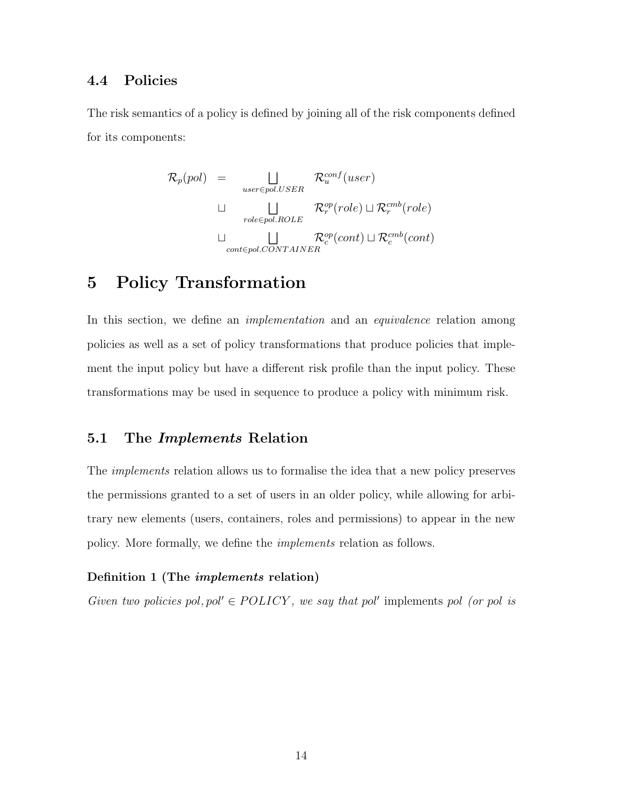#### 4.4 Policies

The risk semantics of a policy is defined by joining all of the risk components defined for its components:

$$
\mathcal{R}_p(pol) = \bigsqcup_{user \in pol.USER} \mathcal{R}_u^{conf}(user)
$$
  
\n
$$
\bigsqcup_{role \in pol. ROLE} \mathcal{R}_r^{op}(role) \sqcup \mathcal{R}_r^{cmb}(role)
$$
  
\n
$$
\bigsqcup_{cont \in pol. CONTAINER} \mathcal{R}_c^{op}(cont) \sqcup \mathcal{R}_c^{cmb}(cont)
$$

### 5 Policy Transformation

In this section, we define an *implementation* and an *equivalence* relation among policies as well as a set of policy transformations that produce policies that implement the input policy but have a different risk profile than the input policy. These transformations may be used in sequence to produce a policy with minimum risk.

### 5.1 The Implements Relation

The implements relation allows us to formalise the idea that a new policy preserves the permissions granted to a set of users in an older policy, while allowing for arbitrary new elements (users, containers, roles and permissions) to appear in the new policy. More formally, we define the implements relation as follows.

#### Definition 1 (The implements relation)

Given two policies pol, pol'  $\in \text{POLICY}$ , we say that pol' implements pol (or pol is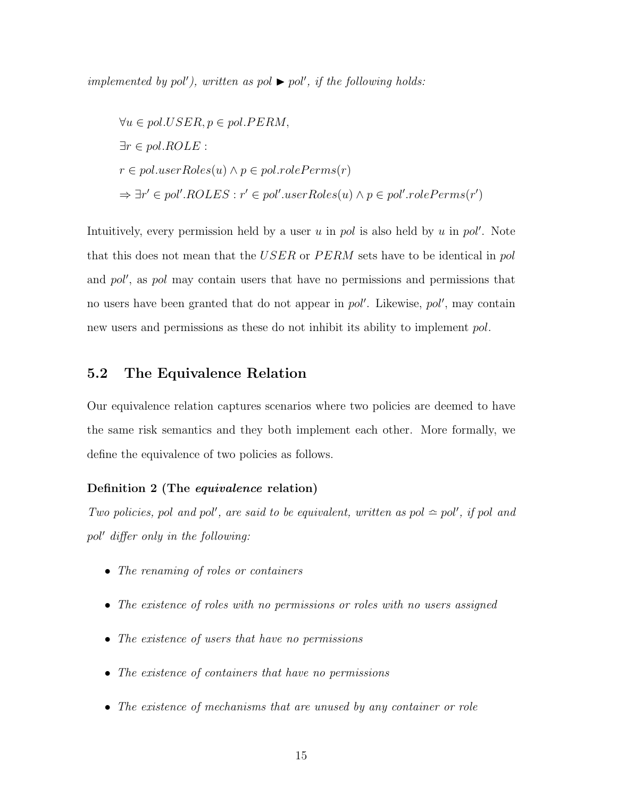implemented by pol'), written as pol  $\blacktriangleright$  pol', if the following holds:

$$
\forall u \in pol. USER, p \in pol.PERM,
$$
  
\n
$$
\exists r \in pol.ROLE:
$$
  
\n
$$
r \in pol.userRobes(u) \land p \in pol.rolePerms(r)
$$
  
\n
$$
\Rightarrow \exists r' \in pol'.ROLES : r' \in pol'.userRobes(u) \land p \in pol'.rolePerms(r')
$$

Intuitively, every permission held by a user  $u$  in pol is also held by  $u$  in pol'. Note that this does not mean that the  $USER$  or  $PERM$  sets have to be identical in  $pol$ and pol', as pol may contain users that have no permissions and permissions that no users have been granted that do not appear in pol'. Likewise, pol', may contain new users and permissions as these do not inhibit its ability to implement pol.

### 5.2 The Equivalence Relation

Our equivalence relation captures scenarios where two policies are deemed to have the same risk semantics and they both implement each other. More formally, we define the equivalence of two policies as follows.

#### Definition 2 (The *equivalence* relation)

Two policies, pol and pol', are said to be equivalent, written as pol  $\cong$  pol', if pol and pol' differ only in the following:

- The renaming of roles or containers
- The existence of roles with no permissions or roles with no users assigned
- The existence of users that have no permissions
- The existence of containers that have no permissions
- The existence of mechanisms that are unused by any container or role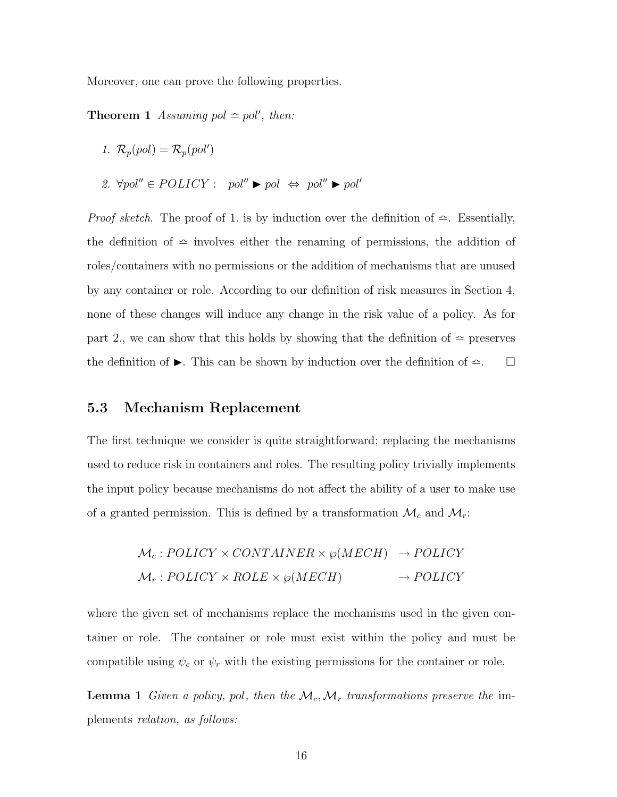Moreover, one can prove the following properties.

**Theorem 1** Assuming pol  $\approx$  pol', then:

1. 
$$
\mathcal{R}_p(pol) = \mathcal{R}_p(pol')
$$

2.  $\forall pol'' \in POLICY : pol'' \triangleright pol \Leftrightarrow pol'' \triangleright pol'$ 

*Proof sketch.* The proof of 1. is by induction over the definition of  $\cong$ . Essentially, the definition of  $\approx$  involves either the renaming of permissions, the addition of roles/containers with no permissions or the addition of mechanisms that are unused by any container or role. According to our definition of risk measures in Section 4, none of these changes will induce any change in the risk value of a policy. As for part 2., we can show that this holds by showing that the definition of  $\approx$  preserves the definition of  $\blacktriangleright$ . This can be shown by induction over the definition of  $\cong$ .  $\Box$ 

#### 5.3 Mechanism Replacement

The first technique we consider is quite straightforward; replacing the mechanisms used to reduce risk in containers and roles. The resulting policy trivially implements the input policy because mechanisms do not affect the ability of a user to make use of a granted permission. This is defined by a transformation  $\mathcal{M}_c$  and  $\mathcal{M}_r$ :

$$
M_c: POLICY \times CONTAINER \times \wp(MECH) \rightarrow POLICY
$$
  

$$
M_r: POLICY \times ROLE \times \wp(MECH) \longrightarrow POLICY
$$

where the given set of mechanisms replace the mechanisms used in the given container or role. The container or role must exist within the policy and must be compatible using  $\psi_c$  or  $\psi_r$  with the existing permissions for the container or role.

**Lemma 1** Given a policy, pol, then the  $\mathcal{M}_c$ ,  $\mathcal{M}_r$  transformations preserve the implements relation, as follows: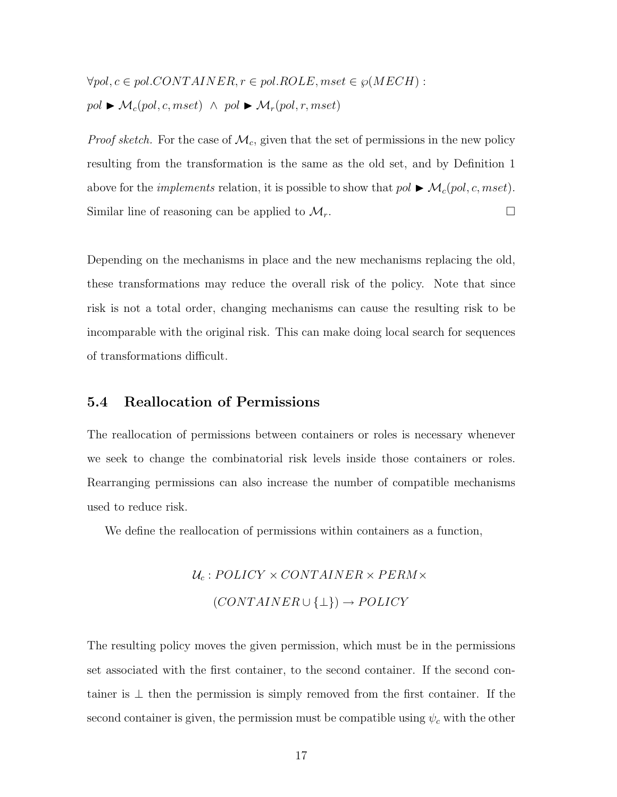$\forall pol, c \in pol. CONTAINER, r \in pol. ROLE, mset \in \wp(MECH)$ :  $pol \blacktriangleright \mathcal{M}_{c}(pol,c,mset) \ \wedge \ pol \blacktriangleright \mathcal{M}_{r}(pol,r,mset)$ 

*Proof sketch.* For the case of  $\mathcal{M}_c$ , given that the set of permissions in the new policy resulting from the transformation is the same as the old set, and by Definition 1 above for the *implements* relation, it is possible to show that  $pol \rightarrow \mathcal{M}_c(pol, c, mset)$ . Similar line of reasoning can be applied to  $\mathcal{M}_r$ .

Depending on the mechanisms in place and the new mechanisms replacing the old, these transformations may reduce the overall risk of the policy. Note that since risk is not a total order, changing mechanisms can cause the resulting risk to be incomparable with the original risk. This can make doing local search for sequences of transformations difficult.

#### 5.4 Reallocation of Permissions

The reallocation of permissions between containers or roles is necessary whenever we seek to change the combinatorial risk levels inside those containers or roles. Rearranging permissions can also increase the number of compatible mechanisms used to reduce risk.

We define the reallocation of permissions within containers as a function,

$$
\mathcal{U}_c: POLICY \times CONTAINER \times PERM \times \ (CONTAINER \cup \{\bot\}) \rightarrow POLICY
$$

The resulting policy moves the given permission, which must be in the permissions set associated with the first container, to the second container. If the second container is ⊥ then the permission is simply removed from the first container. If the second container is given, the permission must be compatible using  $\psi_c$  with the other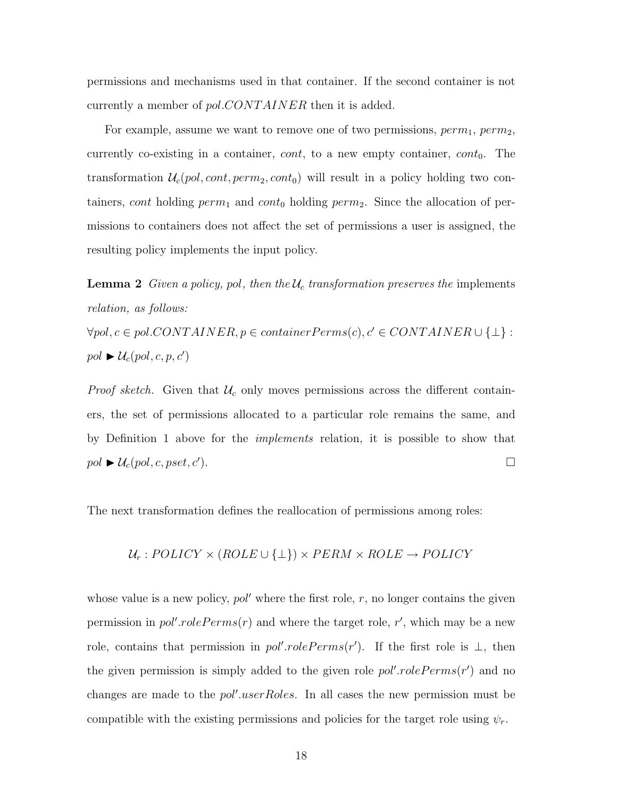permissions and mechanisms used in that container. If the second container is not currently a member of *pol.CONTAINER* then it is added.

For example, assume we want to remove one of two permissions,  $perm_1$ ,  $perm_2$ , currently co-existing in a container,  $cont$ , to a new empty container,  $cont_0$ . The transformation  $\mathcal{U}_c(pol, cont, perm_2, cont_0)$  will result in a policy holding two containers, cont holding  $perm_1$  and cont<sub>0</sub> holding perm<sub>2</sub>. Since the allocation of permissions to containers does not affect the set of permissions a user is assigned, the resulting policy implements the input policy.

**Lemma 2** Given a policy, pol, then the  $\mathcal{U}_c$  transformation preserves the implements relation, as follows:

 $\forall pol, c \in pol. CONTAINER, p \in containerPerms(c), c' \in CONTAINER \cup {\perp}$ :  $pol \blacktriangleright \mathcal{U}_c(pol, c, p, c')$ 

*Proof sketch.* Given that  $U_c$  only moves permissions across the different containers, the set of permissions allocated to a particular role remains the same, and by Definition 1 above for the implements relation, it is possible to show that  $pol \blacktriangleright \mathcal{U}_c(pol, c, pset, c').$  $\Box$ 

The next transformation defines the reallocation of permissions among roles:

 $U_r : \text{POLICY} \times (\text{ROLE} \cup \{\perp\}) \times \text{PERM} \times \text{ROLE} \rightarrow \text{POLICY}$ 

whose value is a new policy,  $pol'$  where the first role, r, no longer contains the given permission in  $pol'.rolePerms(r)$  and where the target role, r', which may be a new role, contains that permission in  $pol'.rolePerms(r')$ . If the first role is  $\perp$ , then the given permission is simply added to the given role  $pol'.rolePerms(r')$  and no changes are made to the  $pol'.\iota serRoles$ . In all cases the new permission must be compatible with the existing permissions and policies for the target role using  $\psi_r$ .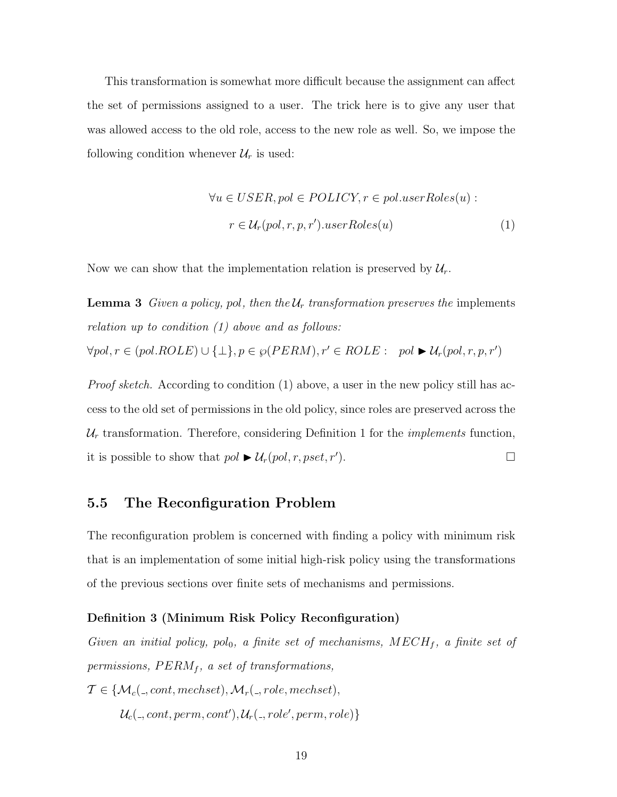This transformation is somewhat more difficult because the assignment can affect the set of permissions assigned to a user. The trick here is to give any user that was allowed access to the old role, access to the new role as well. So, we impose the following condition whenever  $\mathcal{U}_r$  is used:

$$
\forall u \in USER, pol \in POLICY, r \in pol.userRoles(u) :
$$
  

$$
r \in U_r(pol, r, p, r').userRoles(u)
$$
 (1)

Now we can show that the implementation relation is preserved by  $\mathcal{U}_r$ .

**Lemma 3** Given a policy, pol, then the  $U_r$  transformation preserves the implements relation up to condition  $(1)$  above and as follows:

 $\forall pol, r \in (pol.ROLE) \cup {\{\perp\}}, p \in \wp(PERM), r' \in ROLE: \text{pol} \blacktriangleright \mathcal{U}_r(pol, r, p, r')$ 

*Proof sketch.* According to condition (1) above, a user in the new policy still has access to the old set of permissions in the old policy, since roles are preserved across the  $U_r$  transformation. Therefore, considering Definition 1 for the *implements* function, it is possible to show that  $pol \blacktriangleright \mathcal{U}_r(pol, r, pset, r').$  $\Box$ 

### 5.5 The Reconfiguration Problem

The reconfiguration problem is concerned with finding a policy with minimum risk that is an implementation of some initial high-risk policy using the transformations of the previous sections over finite sets of mechanisms and permissions.

#### Definition 3 (Minimum Risk Policy Reconfiguration)

Given an initial policy, pol<sub>0</sub>, a finite set of mechanisms,  $MECH<sub>f</sub>$ , a finite set of permissions,  $PERM_f$ , a set of transformations,

 $\mathcal{T} \in \{ \mathcal{M}_c(., cont, mechsel), \mathcal{M}_r(., role, mechsel),\$  $\mathcal{U}_c($  \_, cont, perm, cont'),  $\mathcal{U}_r($  \_, role', perm, role)  $\}$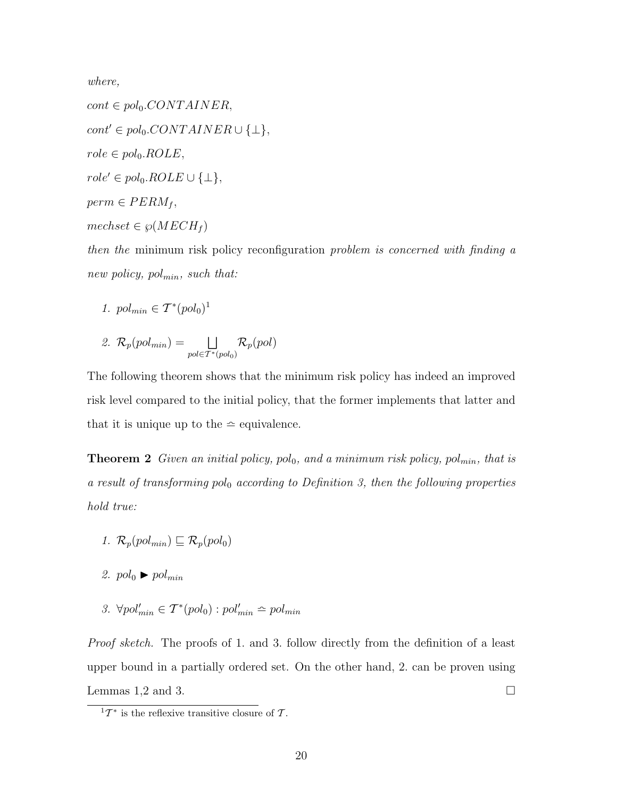where,

 $cont \in pol_0$ .*CONTAINER*,  $cont' \in pol_0$ .CONT AINER ∪ { $\perp$ },  $role \in pol<sub>0</sub>.ROLE,$  $role' \in pol_0.ROLE \cup \{\perp\},\$  $perm \in PERM_f,$  $mechsel \in \wp(MECH_f)$ 

then the minimum risk policy reconfiguration problem is concerned with finding a new policy,  $pol_{min}$ , such that:

1.  $pol_{min} \in T^*(pol_0)^1$ 

2. 
$$
\mathcal{R}_p(pol_{min}) = \bigsqcup_{pol \in \mathcal{T}^*(pol_0)} \mathcal{R}_p(pol)
$$

The following theorem shows that the minimum risk policy has indeed an improved risk level compared to the initial policy, that the former implements that latter and that it is unique up to the  $\approx$  equivalence.

**Theorem 2** Given an initial policy, pol<sub>0</sub>, and a minimum risk policy, pol<sub>min</sub>, that is a result of transforming  $pol_0$  according to Definition 3, then the following properties hold true:

- 1.  $\mathcal{R}_p(pol_{min}) \sqsubset \mathcal{R}_p(pol_0)$
- 2.  $pol_0$   $\blacktriangleright$   $pol_{min}$
- 3.  $\forall pol'_{min} \in T^*(pol_0) : pol'_{min} \simeq pol_{min}$

Proof sketch. The proofs of 1. and 3. follow directly from the definition of a least upper bound in a partially ordered set. On the other hand, 2. can be proven using Lemmas 1,2 and 3.  $\Box$ 

 ${}^{1}T^{*}$  is the reflexive transitive closure of T.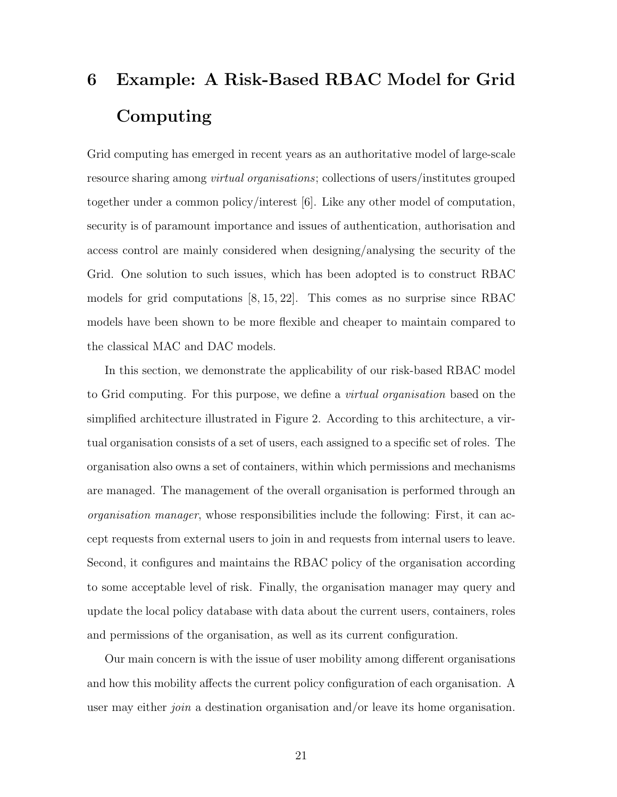# 6 Example: A Risk-Based RBAC Model for Grid Computing

Grid computing has emerged in recent years as an authoritative model of large-scale resource sharing among virtual organisations; collections of users/institutes grouped together under a common policy/interest [6]. Like any other model of computation, security is of paramount importance and issues of authentication, authorisation and access control are mainly considered when designing/analysing the security of the Grid. One solution to such issues, which has been adopted is to construct RBAC models for grid computations [8, 15, 22]. This comes as no surprise since RBAC models have been shown to be more flexible and cheaper to maintain compared to the classical MAC and DAC models.

In this section, we demonstrate the applicability of our risk-based RBAC model to Grid computing. For this purpose, we define a virtual organisation based on the simplified architecture illustrated in Figure 2. According to this architecture, a virtual organisation consists of a set of users, each assigned to a specific set of roles. The organisation also owns a set of containers, within which permissions and mechanisms are managed. The management of the overall organisation is performed through an organisation manager, whose responsibilities include the following: First, it can accept requests from external users to join in and requests from internal users to leave. Second, it configures and maintains the RBAC policy of the organisation according to some acceptable level of risk. Finally, the organisation manager may query and update the local policy database with data about the current users, containers, roles and permissions of the organisation, as well as its current configuration.

Our main concern is with the issue of user mobility among different organisations and how this mobility affects the current policy configuration of each organisation. A user may either *join* a destination organisation and/or leave its home organisation.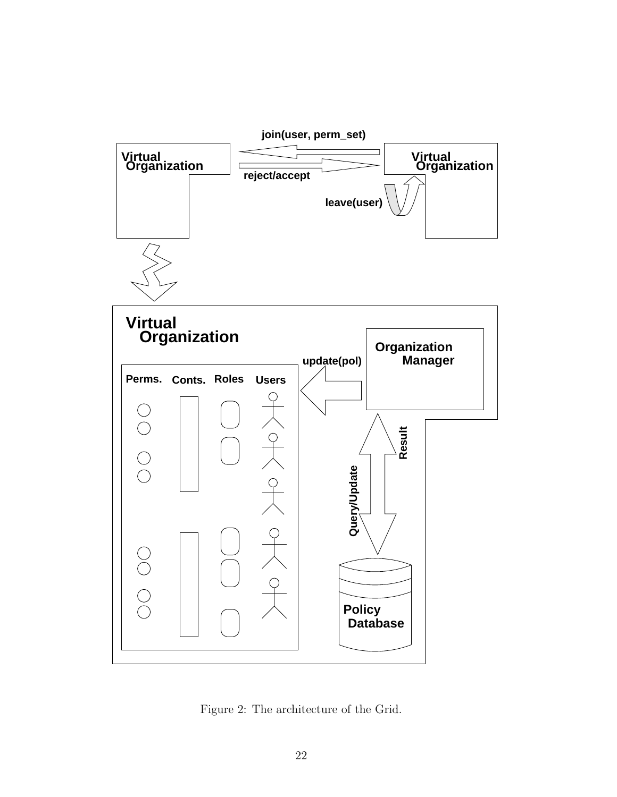

Figure 2: The architecture of the Grid.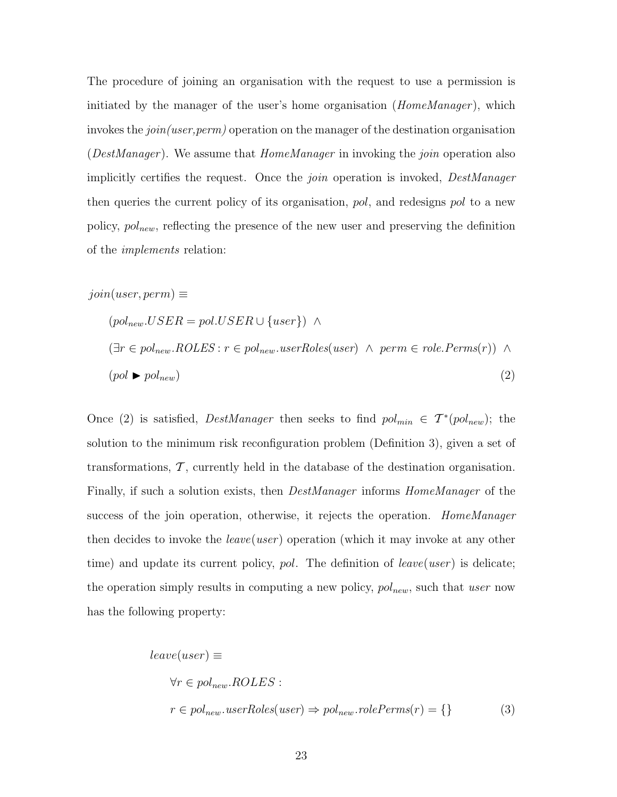The procedure of joining an organisation with the request to use a permission is initiated by the manager of the user's home organisation  $(HomeManager)$ , which invokes the  $join(user,perm)$  operation on the manager of the destination organisation (*DestManager*). We assume that *HomeManager* in invoking the *join* operation also implicitly certifies the request. Once the join operation is invoked, DestManager then queries the current policy of its organisation, pol, and redesigns pol to a new policy,  $pol_{new}$ , reflecting the presence of the new user and preserving the definition of the implements relation:

$$
join(user, perm) \equiv
$$
  
\n
$$
(pol_{new} \cdot USER = pol \cdot USER \cup \{user\}) \ \land
$$
  
\n
$$
(\exists r \in pol_{new} \cdot ROLES : r \in pol_{new} \cdot userRoles(user) \ \land \ perm \in role \cdot Perm(r)) \ \land
$$
  
\n
$$
(pol \blacktriangleright pol_{new})
$$
  
\n(2)

Once (2) is satisfied, DestManager then seeks to find  $pol_{min} \in \mathcal{T}^*(pol_{new})$ ; the solution to the minimum risk reconfiguration problem (Definition 3), given a set of transformations,  $\mathcal{T}$ , currently held in the database of the destination organisation. Finally, if such a solution exists, then DestManager informs HomeManager of the success of the join operation, otherwise, it rejects the operation. *HomeManager* then decides to invoke the *leave*(*user*) operation (which it may invoke at any other time) and update its current policy, pol. The definition of  $leave(user)$  is delicate; the operation simply results in computing a new policy,  $pol_{new}$ , such that user now has the following property:

$$
leave(user) \equiv
$$
  
\n
$$
\forall r \in pol_{new}.ROLES : \newline r \in pol_{new}.userRobles(user) \Rightarrow pol_{new}.rolePerms(r) = \{\}
$$
 (3)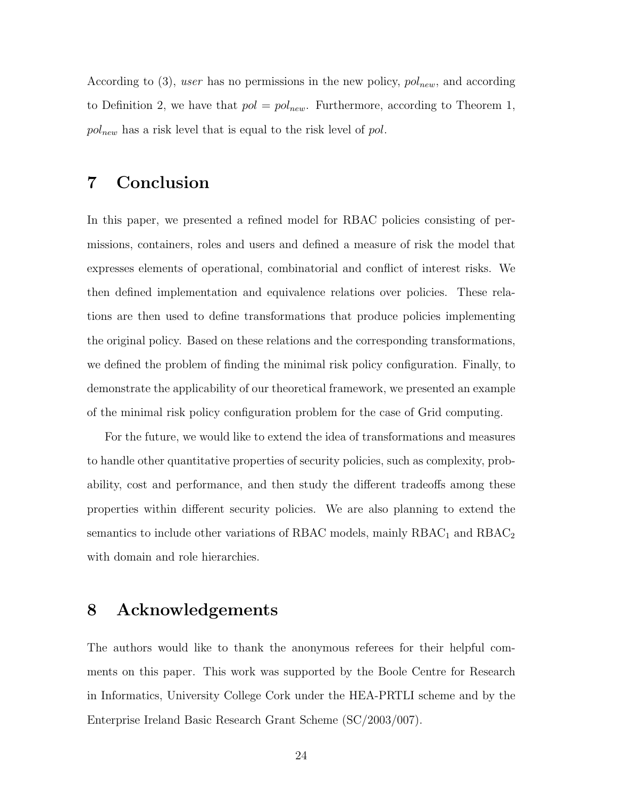According to (3), user has no permissions in the new policy,  $pol_{new}$ , and according to Definition 2, we have that  $pol = pol_{new}$ . Furthermore, according to Theorem 1,  $pol_{new}$  has a risk level that is equal to the risk level of pol.

### 7 Conclusion

In this paper, we presented a refined model for RBAC policies consisting of permissions, containers, roles and users and defined a measure of risk the model that expresses elements of operational, combinatorial and conflict of interest risks. We then defined implementation and equivalence relations over policies. These relations are then used to define transformations that produce policies implementing the original policy. Based on these relations and the corresponding transformations, we defined the problem of finding the minimal risk policy configuration. Finally, to demonstrate the applicability of our theoretical framework, we presented an example of the minimal risk policy configuration problem for the case of Grid computing.

For the future, we would like to extend the idea of transformations and measures to handle other quantitative properties of security policies, such as complexity, probability, cost and performance, and then study the different tradeoffs among these properties within different security policies. We are also planning to extend the semantics to include other variations of RBAC models, mainly  $RBAC<sub>1</sub>$  and  $RBAC<sub>2</sub>$ with domain and role hierarchies.

### 8 Acknowledgements

The authors would like to thank the anonymous referees for their helpful comments on this paper. This work was supported by the Boole Centre for Research in Informatics, University College Cork under the HEA-PRTLI scheme and by the Enterprise Ireland Basic Research Grant Scheme (SC/2003/007).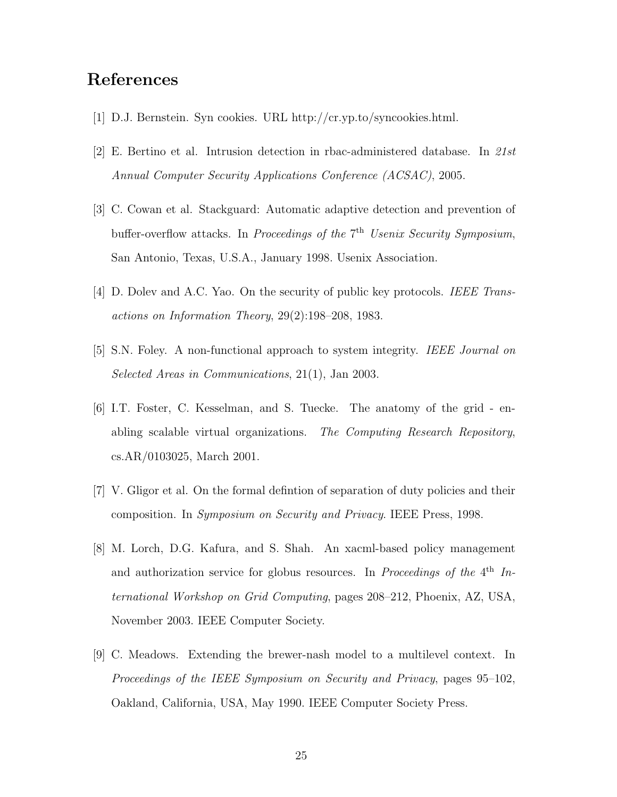### References

- [1] D.J. Bernstein. Syn cookies. URL http://cr.yp.to/syncookies.html.
- [2] E. Bertino et al. Intrusion detection in rbac-administered database. In 21st Annual Computer Security Applications Conference (ACSAC), 2005.
- [3] C. Cowan et al. Stackguard: Automatic adaptive detection and prevention of buffer-overflow attacks. In Proceedings of the  $7<sup>th</sup>$  Usenix Security Symposium, San Antonio, Texas, U.S.A., January 1998. Usenix Association.
- [4] D. Dolev and A.C. Yao. On the security of public key protocols. IEEE Transactions on Information Theory, 29(2):198–208, 1983.
- [5] S.N. Foley. A non-functional approach to system integrity. IEEE Journal on Selected Areas in Communications, 21(1), Jan 2003.
- [6] I.T. Foster, C. Kesselman, and S. Tuecke. The anatomy of the grid enabling scalable virtual organizations. The Computing Research Repository, cs.AR/0103025, March 2001.
- [7] V. Gligor et al. On the formal defintion of separation of duty policies and their composition. In Symposium on Security and Privacy. IEEE Press, 1998.
- [8] M. Lorch, D.G. Kafura, and S. Shah. An xacml-based policy management and authorization service for globus resources. In Proceedings of the  $4<sup>th</sup>$  International Workshop on Grid Computing, pages 208–212, Phoenix, AZ, USA, November 2003. IEEE Computer Society.
- [9] C. Meadows. Extending the brewer-nash model to a multilevel context. In Proceedings of the IEEE Symposium on Security and Privacy, pages 95–102, Oakland, California, USA, May 1990. IEEE Computer Society Press.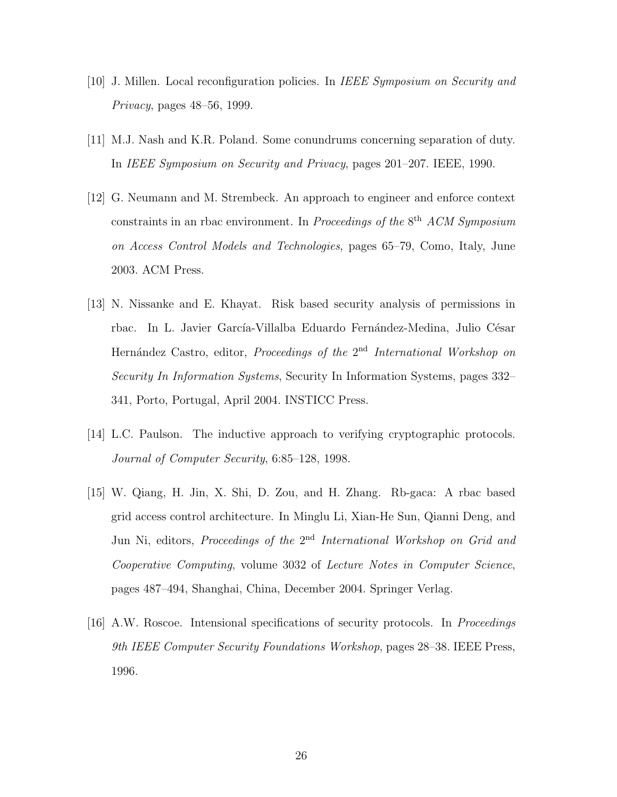- [10] J. Millen. Local reconfiguration policies. In IEEE Symposium on Security and Privacy, pages 48–56, 1999.
- [11] M.J. Nash and K.R. Poland. Some conundrums concerning separation of duty. In IEEE Symposium on Security and Privacy, pages 201–207. IEEE, 1990.
- [12] G. Neumann and M. Strembeck. An approach to engineer and enforce context constraints in an rbac environment. In *Proceedings of the*  $8<sup>th</sup>$  ACM Symposium on Access Control Models and Technologies, pages 65–79, Como, Italy, June 2003. ACM Press.
- [13] N. Nissanke and E. Khayat. Risk based security analysis of permissions in rbac. In L. Javier García-Villalba Eduardo Fernández-Medina, Julio César Hernández Castro, editor, Proceedings of the 2<sup>nd</sup> International Workshop on Security In Information Systems, Security In Information Systems, pages 332– 341, Porto, Portugal, April 2004. INSTICC Press.
- [14] L.C. Paulson. The inductive approach to verifying cryptographic protocols. Journal of Computer Security, 6:85–128, 1998.
- [15] W. Qiang, H. Jin, X. Shi, D. Zou, and H. Zhang. Rb-gaca: A rbac based grid access control architecture. In Minglu Li, Xian-He Sun, Qianni Deng, and Jun Ni, editors, Proceedings of the 2<sup>nd</sup> International Workshop on Grid and Cooperative Computing, volume 3032 of Lecture Notes in Computer Science, pages 487–494, Shanghai, China, December 2004. Springer Verlag.
- [16] A.W. Roscoe. Intensional specifications of security protocols. In Proceedings 9th IEEE Computer Security Foundations Workshop, pages 28–38. IEEE Press, 1996.